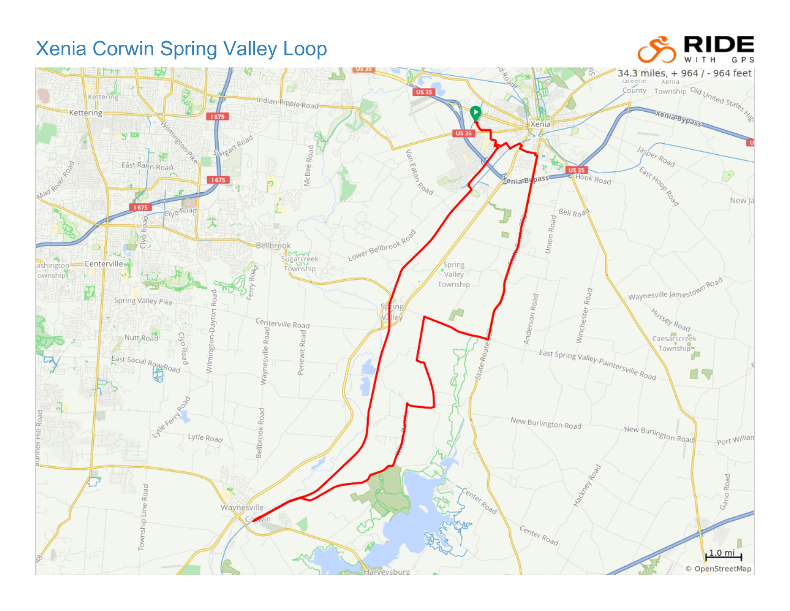## Xenia Corwin Spring Valley Loop

## DE